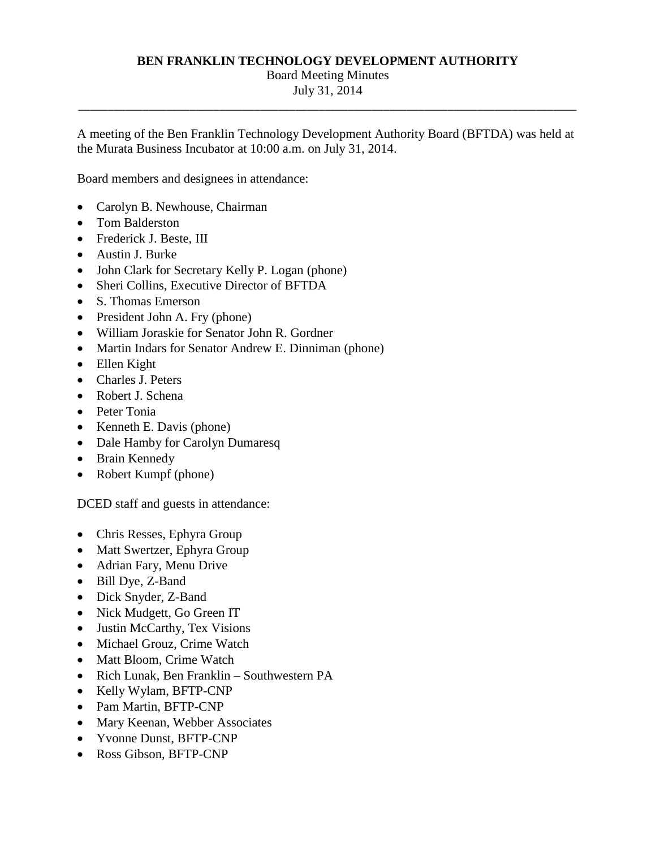#### **BEN FRANKLIN TECHNOLOGY DEVELOPMENT AUTHORITY**

# Board Meeting Minutes

 July 31, 2014 \_\_\_\_\_\_\_\_\_\_\_\_\_\_\_\_\_\_\_\_\_\_\_\_\_\_\_\_\_\_\_\_\_\_\_\_\_\_\_\_\_\_\_\_\_\_\_\_\_\_\_\_\_\_\_\_\_\_\_\_\_\_\_\_\_\_\_\_\_\_\_\_\_\_\_\_\_\_\_\_\_\_\_\_\_

 the Murata Business Incubator at 10:00 a.m. on July 31, 2014. A meeting of the Ben Franklin Technology Development Authority Board (BFTDA) was held at

Board members and designees in attendance:

- Carolyn B. Newhouse, Chairman
- Tom Balderston
- Frederick J. Beste, III
- Austin J. Burke
- John Clark for Secretary Kelly P. Logan (phone)
- Sheri Collins, Executive Director of BFTDA
- S. Thomas Emerson
- President John A. Fry (phone)
- William Joraskie for Senator John R. Gordner
- Martin Indars for Senator Andrew E. Dinniman (phone)
- Ellen Kight
- Charles J. Peters
- Robert J. Schena
- Peter Tonia
- $\bullet$  Kenneth E. Davis (phone)
- Dale Hamby for Carolyn Dumaresq
- Brain Kennedy
- Robert Kumpf (phone)

DCED staff and guests in attendance:

- Chris Resses, Ephyra Group
- Matt Swertzer, Ephyra Group
- Adrian Fary, Menu Drive
- Bill Dye, Z-Band
- Dick Snyder, Z-Band
- Nick Mudgett, Go Green IT
- Justin McCarthy, Tex Visions
- Michael Grouz, Crime Watch
- Matt Bloom, Crime Watch
- Rich Lunak, Ben Franklin Southwestern PA
- Kelly Wylam, BFTP-CNP
- Pam Martin, BFTP-CNP
- Mary Keenan, Webber Associates
- Yvonne Dunst, BFTP-CNP
- Ross Gibson, BFTP-CNP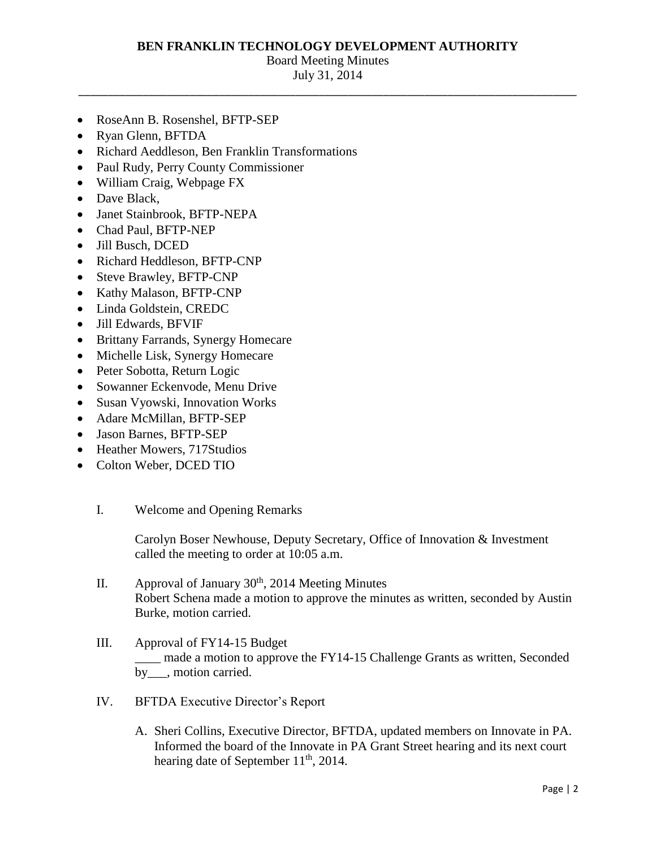#### **BEN FRANKLIN TECHNOLOGY DEVELOPMENT AUTHORITY**

### Board Meeting Minutes

 July 31, 2014 \_\_\_\_\_\_\_\_\_\_\_\_\_\_\_\_\_\_\_\_\_\_\_\_\_\_\_\_\_\_\_\_\_\_\_\_\_\_\_\_\_\_\_\_\_\_\_\_\_\_\_\_\_\_\_\_\_\_\_\_\_\_\_\_\_\_\_\_\_\_\_\_\_\_\_\_\_\_\_\_\_\_\_\_\_

- RoseAnn B. Rosenshel, BFTP-SEP
- Ryan Glenn, BFTDA
- Richard Aeddleson, Ben Franklin Transformations
- Paul Rudy, Perry County Commissioner
- William Craig, Webpage FX
- Dave Black,
- Janet Stainbrook, BFTP-NEPA
- Chad Paul, BFTP-NEP
- Jill Busch, DCED
- Richard Heddleson, BFTP-CNP
- Steve Brawley, BFTP-CNP
- Kathy Malason, BFTP-CNP
- Linda Goldstein, CREDC
- Jill Edwards, BFVIF
- Brittany Farrands, Synergy Homecare
- Michelle Lisk, Synergy Homecare
- Peter Sobotta, Return Logic
- Sowanner Eckenvode, Menu Drive
- Susan Vyowski, Innovation Works
- Adare McMillan, BFTP-SEP
- Jason Barnes, BFTP-SEP
- Heather Mowers, 717Studios
- Colton Weber, DCED TIO
	- I. Welcome and Opening Remarks

 Carolyn Boser Newhouse, Deputy Secretary, Office of Innovation & Investment called the meeting to order at 10:05 a.m.

- II. Approval of January  $30<sup>th</sup>$ , 2014 Meeting Minutes Robert Schena made a motion to approve the minutes as written, seconded by Austin Burke, motion carried.
- III. Approval of FY14-15 Budget \_\_\_\_ made a motion to approve the FY14-15 Challenge Grants as written, Seconded by , motion carried.
- IV. BFTDA Executive Director's Report
	- A. Sheri Collins, Executive Director, BFTDA, updated members on Innovate in PA. Informed the board of the Innovate in PA Grant Street hearing and its next court hearing date of September  $11<sup>th</sup>$ , 2014.